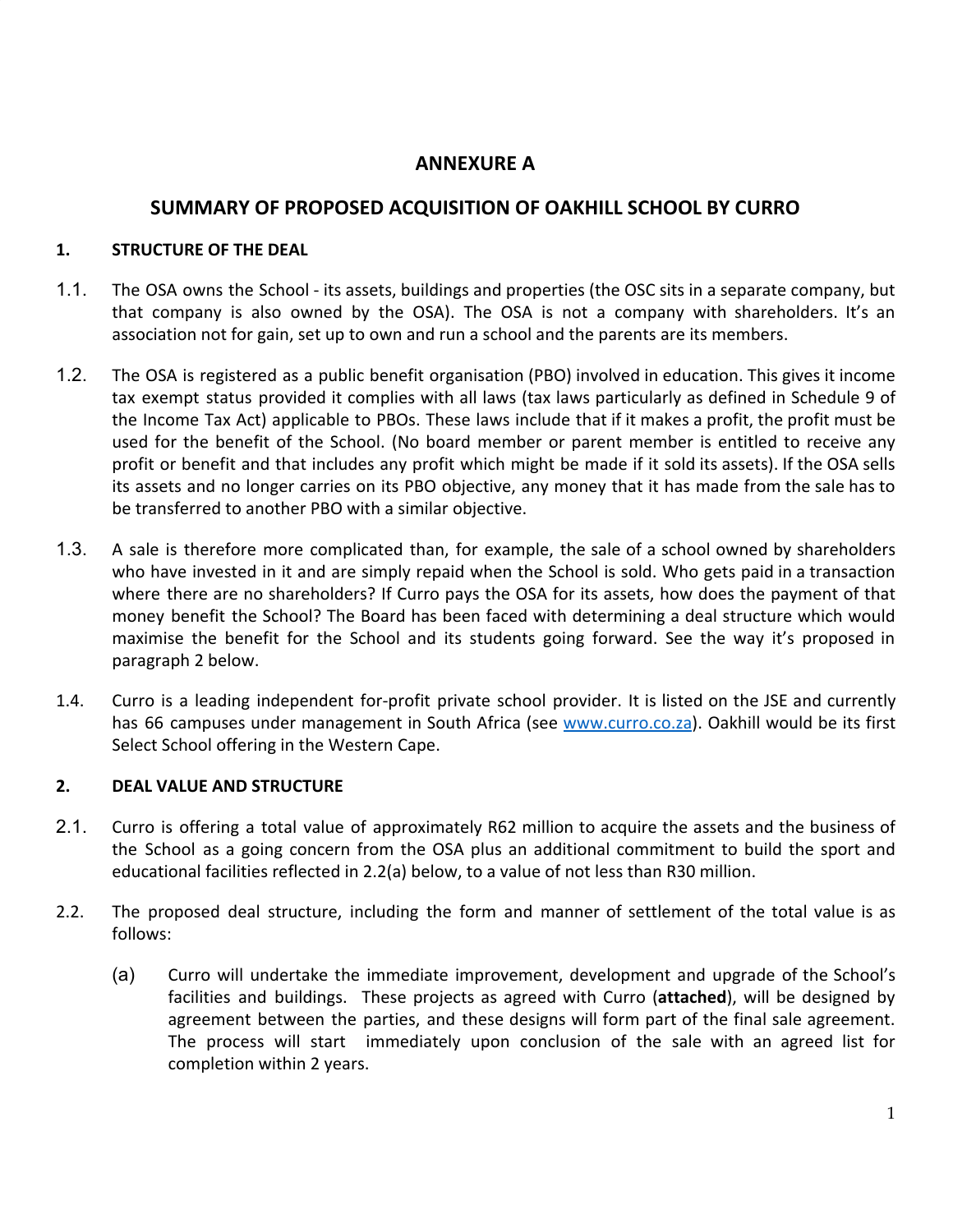# **ANNEXURE A**

# **SUMMARY OF PROPOSED ACQUISITION OF OAKHILL SCHOOL BY CURRO**

#### **1. STRUCTURE OF THE DEAL**

- 1.1. The OSA owns the School its assets, buildings and properties (the OSC sits in a separate company, but that company is also owned by the OSA). The OSA is not a company with shareholders. It's an association not for gain, set up to own and run a school and the parents are its members.
- 1.2. The OSA is registered as a public benefit organisation (PBO) involved in education. This gives it income tax exempt status provided it complies with all laws (tax laws particularly as defined in Schedule 9 of the Income Tax Act) applicable to PBOs. These laws include that if it makes a profit, the profit must be used for the benefit of the School. (No board member or parent member is entitled to receive any profit or benefit and that includes any profit which might be made if it sold its assets). If the OSA sells its assets and no longer carries on its PBO objective, any money that it has made from the sale has to be transferred to another PBO with a similar objective.
- 1.3. A sale is therefore more complicated than, for example, the sale of a school owned by shareholders who have invested in it and are simply repaid when the School is sold. Who gets paid in a transaction where there are no shareholders? If Curro pays the OSA for its assets, how does the payment of that money benefit the School? The Board has been faced with determining a deal structure which would maximise the benefit for the School and its students going forward. See the way it's proposed in paragraph 2 below.
- 1.4. Curro is a leading independent for-profit private school provider. It is listed on the JSE and currently has 66 campuses under management in South Africa (see [www.curro.co.za\)](http://www.curro.co.za/). Oakhill would be its first Select School offering in the Western Cape.

### **2. DEAL VALUE AND STRUCTURE**

- 2.1. Curro is offering a total value of approximately R62 million to acquire the assets and the business of the School as a going concern from the OSA plus an additional commitment to build the sport and educational facilities reflected in 2.2(a) below, to a value of not less than R30 million.
- 2.2. The proposed deal structure, including the form and manner of settlement of the total value is as follows:
	- (a) Curro will undertake the immediate improvement, development and upgrade of the School's facilities and buildings. These projects as agreed with Curro (**attached**), will be designed by agreement between the parties, and these designs will form part of the final sale agreement. The process will start immediately upon conclusion of the sale with an agreed list for completion within 2 years.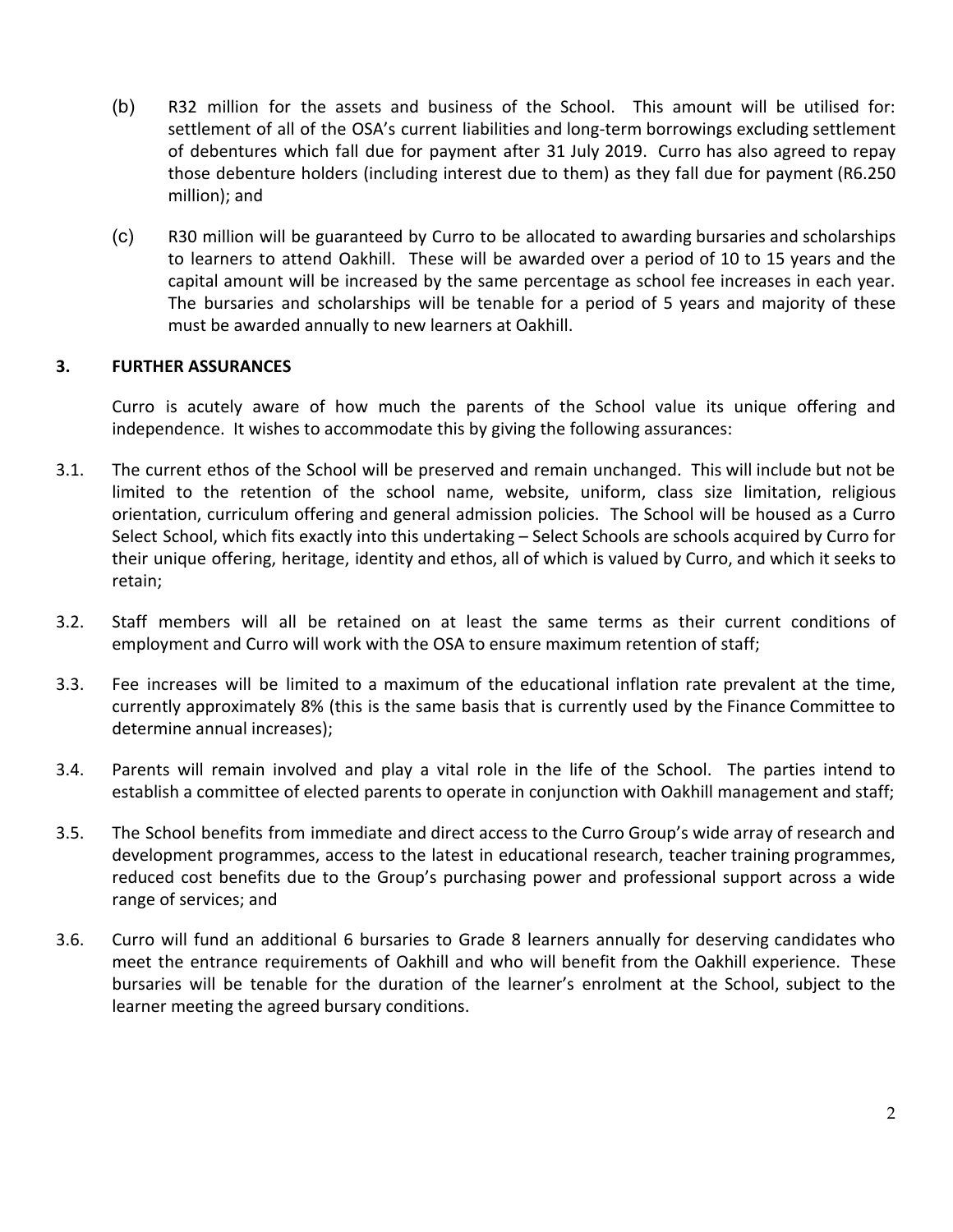- (b) R32 million for the assets and business of the School. This amount will be utilised for: settlement of all of the OSA's current liabilities and long-term borrowings excluding settlement of debentures which fall due for payment after 31 July 2019. Curro has also agreed to repay those debenture holders (including interest due to them) as they fall due for payment (R6.250 million); and
- (c) R30 million will be guaranteed by Curro to be allocated to awarding bursaries and scholarships to learners to attend Oakhill. These will be awarded over a period of 10 to 15 years and the capital amount will be increased by the same percentage as school fee increases in each year. The bursaries and scholarships will be tenable for a period of 5 years and majority of these must be awarded annually to new learners at Oakhill.

#### **3. FURTHER ASSURANCES**

Curro is acutely aware of how much the parents of the School value its unique offering and independence. It wishes to accommodate this by giving the following assurances:

- 3.1. The current ethos of the School will be preserved and remain unchanged. This will include but not be limited to the retention of the school name, website, uniform, class size limitation, religious orientation, curriculum offering and general admission policies. The School will be housed as a Curro Select School, which fits exactly into this undertaking – Select Schools are schools acquired by Curro for their unique offering, heritage, identity and ethos, all of which is valued by Curro, and which it seeks to retain;
- 3.2. Staff members will all be retained on at least the same terms as their current conditions of employment and Curro will work with the OSA to ensure maximum retention of staff;
- 3.3. Fee increases will be limited to a maximum of the educational inflation rate prevalent at the time, currently approximately 8% (this is the same basis that is currently used by the Finance Committee to determine annual increases);
- 3.4. Parents will remain involved and play a vital role in the life of the School. The parties intend to establish a committee of elected parents to operate in conjunction with Oakhill management and staff;
- 3.5. The School benefits from immediate and direct access to the Curro Group's wide array of research and development programmes, access to the latest in educational research, teacher training programmes, reduced cost benefits due to the Group's purchasing power and professional support across a wide range of services; and
- 3.6. Curro will fund an additional 6 bursaries to Grade 8 learners annually for deserving candidates who meet the entrance requirements of Oakhill and who will benefit from the Oakhill experience. These bursaries will be tenable for the duration of the learner's enrolment at the School, subject to the learner meeting the agreed bursary conditions.